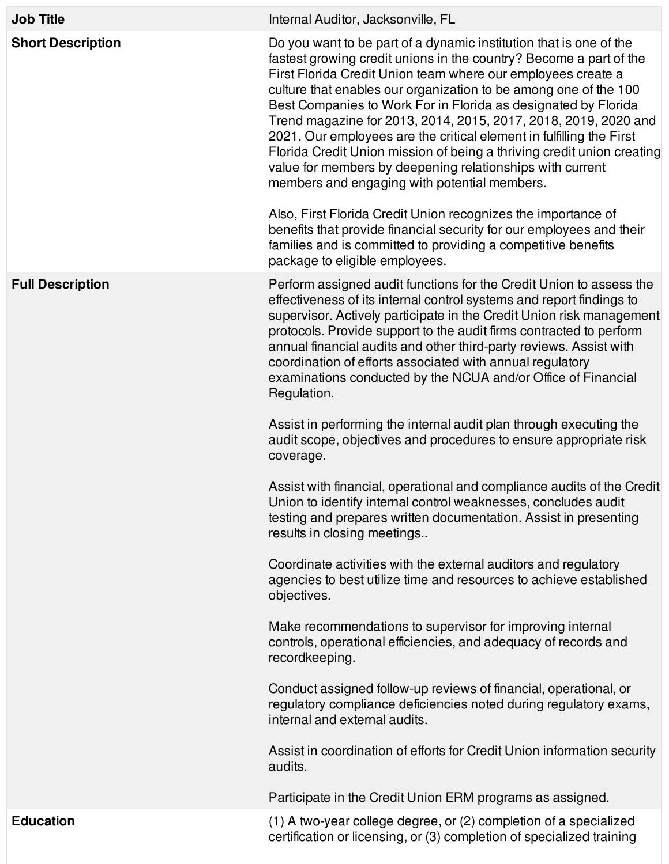| <b>Job Title</b>         | Internal Auditor, Jacksonville, FL                                                                                                                                                                                                                                                                                                                                                                                                                                                                                                                                                                                                                                                                                                                                                                                        |
|--------------------------|---------------------------------------------------------------------------------------------------------------------------------------------------------------------------------------------------------------------------------------------------------------------------------------------------------------------------------------------------------------------------------------------------------------------------------------------------------------------------------------------------------------------------------------------------------------------------------------------------------------------------------------------------------------------------------------------------------------------------------------------------------------------------------------------------------------------------|
| <b>Short Description</b> | Do you want to be part of a dynamic institution that is one of the<br>fastest growing credit unions in the country? Become a part of the<br>First Florida Credit Union team where our employees create a<br>culture that enables our organization to be among one of the 100<br>Best Companies to Work For in Florida as designated by Florida<br>Trend magazine for 2013, 2014, 2015, 2017, 2018, 2019, 2020 and<br>2021. Our employees are the critical element in fulfilling the First<br>Florida Credit Union mission of being a thriving credit union creating<br>value for members by deepening relationships with current<br>members and engaging with potential members.<br>Also, First Florida Credit Union recognizes the importance of<br>benefits that provide financial security for our employees and their |
|                          | families and is committed to providing a competitive benefits<br>package to eligible employees.                                                                                                                                                                                                                                                                                                                                                                                                                                                                                                                                                                                                                                                                                                                           |
| <b>Full Description</b>  | Perform assigned audit functions for the Credit Union to assess the<br>effectiveness of its internal control systems and report findings to<br>supervisor. Actively participate in the Credit Union risk management<br>protocols. Provide support to the audit firms contracted to perform<br>annual financial audits and other third-party reviews. Assist with<br>coordination of efforts associated with annual regulatory<br>examinations conducted by the NCUA and/or Office of Financial<br>Regulation.                                                                                                                                                                                                                                                                                                             |
|                          | Assist in performing the internal audit plan through executing the<br>audit scope, objectives and procedures to ensure appropriate risk<br>coverage.                                                                                                                                                                                                                                                                                                                                                                                                                                                                                                                                                                                                                                                                      |
|                          | Assist with financial, operational and compliance audits of the Credit<br>Union to identify internal control weaknesses, concludes audit<br>testing and prepares written documentation. Assist in presenting<br>results in closing meetings                                                                                                                                                                                                                                                                                                                                                                                                                                                                                                                                                                               |
|                          | Coordinate activities with the external auditors and regulatory<br>agencies to best utilize time and resources to achieve established<br>objectives.                                                                                                                                                                                                                                                                                                                                                                                                                                                                                                                                                                                                                                                                      |
|                          | Make recommendations to supervisor for improving internal<br>controls, operational efficiencies, and adequacy of records and<br>recordkeeping.                                                                                                                                                                                                                                                                                                                                                                                                                                                                                                                                                                                                                                                                            |
|                          | Conduct assigned follow-up reviews of financial, operational, or<br>regulatory compliance deficiencies noted during regulatory exams,<br>internal and external audits.                                                                                                                                                                                                                                                                                                                                                                                                                                                                                                                                                                                                                                                    |
|                          | Assist in coordination of efforts for Credit Union information security<br>audits.                                                                                                                                                                                                                                                                                                                                                                                                                                                                                                                                                                                                                                                                                                                                        |
|                          | Participate in the Credit Union ERM programs as assigned.                                                                                                                                                                                                                                                                                                                                                                                                                                                                                                                                                                                                                                                                                                                                                                 |
| <b>Education</b>         | (1) A two-year college degree, or (2) completion of a specialized<br>certification or licensing, or (3) completion of specialized training                                                                                                                                                                                                                                                                                                                                                                                                                                                                                                                                                                                                                                                                                |